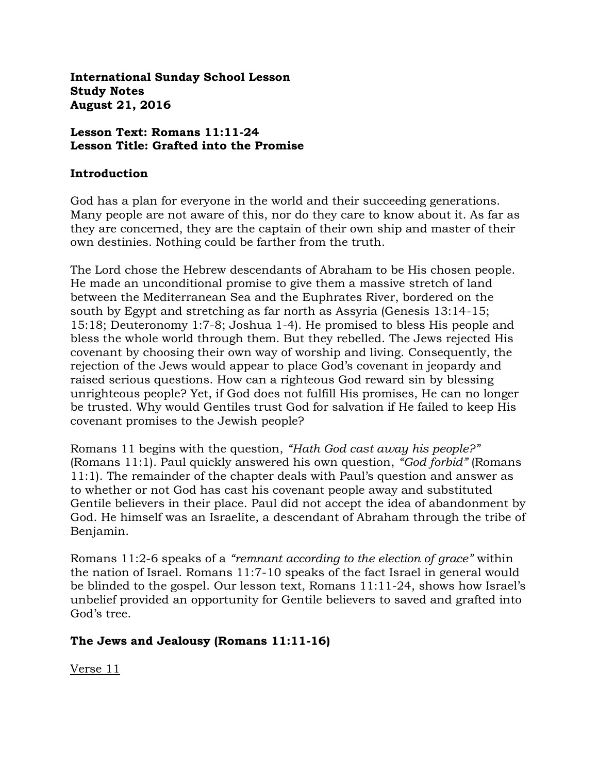**International Sunday School Lesson Study Notes August 21, 2016**

### **Lesson Text: Romans 11:11-24 Lesson Title: Grafted into the Promise**

### **Introduction**

God has a plan for everyone in the world and their succeeding generations. Many people are not aware of this, nor do they care to know about it. As far as they are concerned, they are the captain of their own ship and master of their own destinies. Nothing could be farther from the truth.

The Lord chose the Hebrew descendants of Abraham to be His chosen people. He made an unconditional promise to give them a massive stretch of land between the Mediterranean Sea and the Euphrates River, bordered on the south by Egypt and stretching as far north as Assyria (Genesis 13:14-15; 15:18; Deuteronomy 1:7-8; Joshua 1-4). He promised to bless His people and bless the whole world through them. But they rebelled. The Jews rejected His covenant by choosing their own way of worship and living. Consequently, the rejection of the Jews would appear to place God's covenant in jeopardy and raised serious questions. How can a righteous God reward sin by blessing unrighteous people? Yet, if God does not fulfill His promises, He can no longer be trusted. Why would Gentiles trust God for salvation if He failed to keep His covenant promises to the Jewish people?

Romans 11 begins with the question, *"Hath God cast away his people?"*  (Romans 11:1). Paul quickly answered his own question, *"God forbid"* (Romans 11:1). The remainder of the chapter deals with Paul's question and answer as to whether or not God has cast his covenant people away and substituted Gentile believers in their place. Paul did not accept the idea of abandonment by God. He himself was an Israelite, a descendant of Abraham through the tribe of Benjamin.

Romans 11:2-6 speaks of a *"remnant according to the election of grace"* within the nation of Israel. Romans 11:7-10 speaks of the fact Israel in general would be blinded to the gospel. Our lesson text, Romans 11:11-24, shows how Israel's unbelief provided an opportunity for Gentile believers to saved and grafted into God's tree.

# **The Jews and Jealousy (Romans 11:11-16)**

Verse 11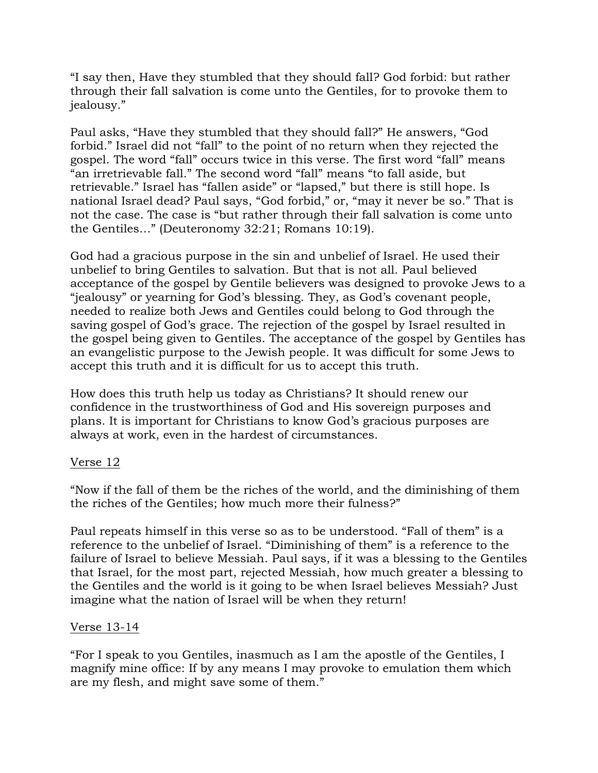"I say then, Have they stumbled that they should fall? God forbid: but rather through their fall salvation is come unto the Gentiles, for to provoke them to jealousy."

Paul asks, "Have they stumbled that they should fall?" He answers, "God forbid." Israel did not "fall" to the point of no return when they rejected the gospel. The word "fall" occurs twice in this verse. The first word "fall" means "an irretrievable fall." The second word "fall" means "to fall aside, but retrievable." Israel has "fallen aside" or "lapsed," but there is still hope. Is national Israel dead? Paul says, "God forbid," or, "may it never be so." That is not the case. The case is "but rather through their fall salvation is come unto the Gentiles…" (Deuteronomy 32:21; Romans 10:19).

God had a gracious purpose in the sin and unbelief of Israel. He used their unbelief to bring Gentiles to salvation. But that is not all. Paul believed acceptance of the gospel by Gentile believers was designed to provoke Jews to a "jealousy" or yearning for God's blessing. They, as God's covenant people, needed to realize both Jews and Gentiles could belong to God through the saving gospel of God's grace. The rejection of the gospel by Israel resulted in the gospel being given to Gentiles. The acceptance of the gospel by Gentiles has an evangelistic purpose to the Jewish people. It was difficult for some Jews to accept this truth and it is difficult for us to accept this truth.

How does this truth help us today as Christians? It should renew our confidence in the trustworthiness of God and His sovereign purposes and plans. It is important for Christians to know God's gracious purposes are always at work, even in the hardest of circumstances.

# Verse 12

"Now if the fall of them be the riches of the world, and the diminishing of them the riches of the Gentiles; how much more their fulness?"

Paul repeats himself in this verse so as to be understood. "Fall of them" is a reference to the unbelief of Israel. "Diminishing of them" is a reference to the failure of Israel to believe Messiah. Paul says, if it was a blessing to the Gentiles that Israel, for the most part, rejected Messiah, how much greater a blessing to the Gentiles and the world is it going to be when Israel believes Messiah? Just imagine what the nation of Israel will be when they return!

### Verse 13-14

"For I speak to you Gentiles, inasmuch as I am the apostle of the Gentiles, I magnify mine office: If by any means I may provoke to emulation them which are my flesh, and might save some of them."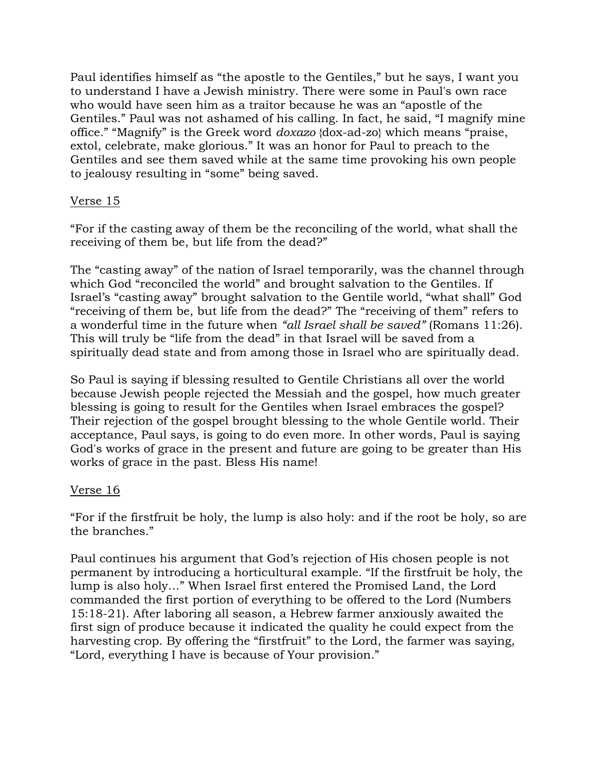Paul identifies himself as "the apostle to the Gentiles," but he says, I want you to understand I have a Jewish ministry. There were some in Paul's own race who would have seen him as a traitor because he was an "apostle of the Gentiles." Paul was not ashamed of his calling. In fact, he said, "I magnify mine office." "Magnify" is the Greek word *doxazo* {dox-ad-zo} which means "praise, extol, celebrate, make glorious." It was an honor for Paul to preach to the Gentiles and see them saved while at the same time provoking his own people to jealousy resulting in "some" being saved.

## Verse 15

"For if the casting away of them be the reconciling of the world, what shall the receiving of them be, but life from the dead?"

The "casting away" of the nation of Israel temporarily, was the channel through which God "reconciled the world" and brought salvation to the Gentiles. If Israel's "casting away" brought salvation to the Gentile world, "what shall" God "receiving of them be, but life from the dead?" The "receiving of them" refers to a wonderful time in the future when *"all Israel shall be saved"* (Romans 11:26). This will truly be "life from the dead" in that Israel will be saved from a spiritually dead state and from among those in Israel who are spiritually dead.

So Paul is saying if blessing resulted to Gentile Christians all over the world because Jewish people rejected the Messiah and the gospel, how much greater blessing is going to result for the Gentiles when Israel embraces the gospel? Their rejection of the gospel brought blessing to the whole Gentile world. Their acceptance, Paul says, is going to do even more. In other words, Paul is saying God's works of grace in the present and future are going to be greater than His works of grace in the past. Bless His name!

# Verse 16

"For if the firstfruit be holy, the lump is also holy: and if the root be holy, so are the branches."

Paul continues his argument that God's rejection of His chosen people is not permanent by introducing a horticultural example. "If the firstfruit be holy, the lump is also holy…" When Israel first entered the Promised Land, the Lord commanded the first portion of everything to be offered to the Lord (Numbers 15:18-21). After laboring all season, a Hebrew farmer anxiously awaited the first sign of produce because it indicated the quality he could expect from the harvesting crop. By offering the "firstfruit" to the Lord, the farmer was saying, "Lord, everything I have is because of Your provision."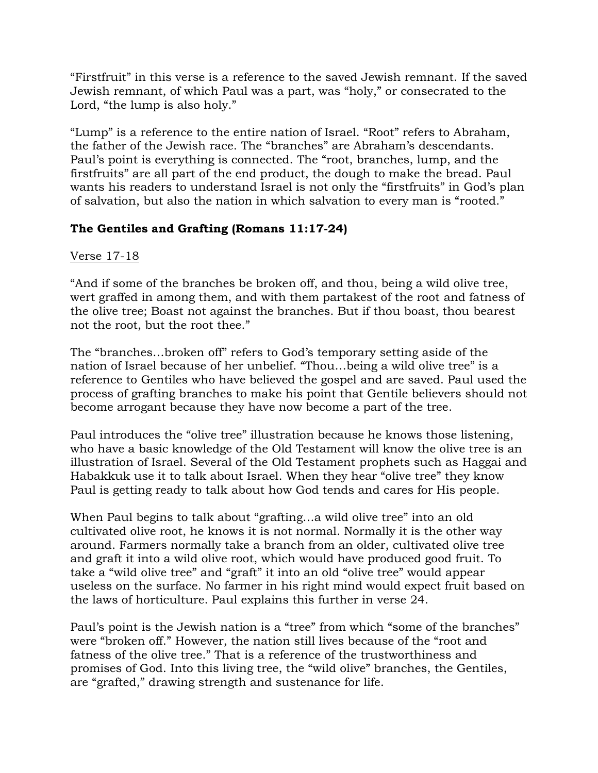"Firstfruit" in this verse is a reference to the saved Jewish remnant. If the saved Jewish remnant, of which Paul was a part, was "holy," or consecrated to the Lord, "the lump is also holy."

"Lump" is a reference to the entire nation of Israel. "Root" refers to Abraham, the father of the Jewish race. The "branches" are Abraham's descendants. Paul's point is everything is connected. The "root, branches, lump, and the firstfruits" are all part of the end product, the dough to make the bread. Paul wants his readers to understand Israel is not only the "firstfruits" in God's plan of salvation, but also the nation in which salvation to every man is "rooted."

# **The Gentiles and Grafting (Romans 11:17-24)**

# Verse 17-18

"And if some of the branches be broken off, and thou, being a wild olive tree, wert graffed in among them, and with them partakest of the root and fatness of the olive tree; Boast not against the branches. But if thou boast, thou bearest not the root, but the root thee."

The "branches…broken off" refers to God's temporary setting aside of the nation of Israel because of her unbelief. "Thou…being a wild olive tree" is a reference to Gentiles who have believed the gospel and are saved. Paul used the process of grafting branches to make his point that Gentile believers should not become arrogant because they have now become a part of the tree.

Paul introduces the "olive tree" illustration because he knows those listening, who have a basic knowledge of the Old Testament will know the olive tree is an illustration of Israel. Several of the Old Testament prophets such as Haggai and Habakkuk use it to talk about Israel. When they hear "olive tree" they know Paul is getting ready to talk about how God tends and cares for His people.

When Paul begins to talk about "grafting…a wild olive tree" into an old cultivated olive root, he knows it is not normal. Normally it is the other way around. Farmers normally take a branch from an older, cultivated olive tree and graft it into a wild olive root, which would have produced good fruit. To take a "wild olive tree" and "graft" it into an old "olive tree" would appear useless on the surface. No farmer in his right mind would expect fruit based on the laws of horticulture. Paul explains this further in verse 24.

Paul's point is the Jewish nation is a "tree" from which "some of the branches" were "broken off." However, the nation still lives because of the "root and fatness of the olive tree." That is a reference of the trustworthiness and promises of God. Into this living tree, the "wild olive" branches, the Gentiles, are "grafted," drawing strength and sustenance for life.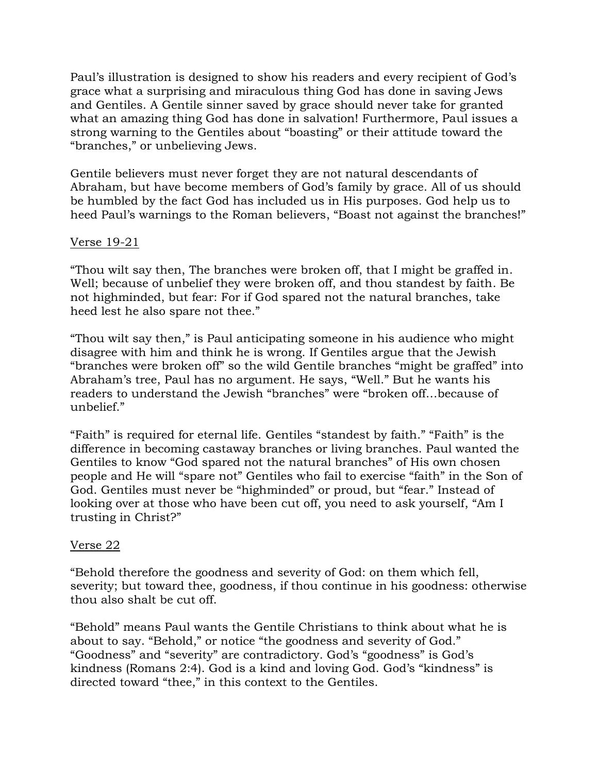Paul's illustration is designed to show his readers and every recipient of God's grace what a surprising and miraculous thing God has done in saving Jews and Gentiles. A Gentile sinner saved by grace should never take for granted what an amazing thing God has done in salvation! Furthermore, Paul issues a strong warning to the Gentiles about "boasting" or their attitude toward the "branches," or unbelieving Jews.

Gentile believers must never forget they are not natural descendants of Abraham, but have become members of God's family by grace. All of us should be humbled by the fact God has included us in His purposes. God help us to heed Paul's warnings to the Roman believers, "Boast not against the branches!"

## Verse 19-21

"Thou wilt say then, The branches were broken off, that I might be graffed in. Well; because of unbelief they were broken off, and thou standest by faith. Be not highminded, but fear: For if God spared not the natural branches, take heed lest he also spare not thee."

"Thou wilt say then," is Paul anticipating someone in his audience who might disagree with him and think he is wrong. If Gentiles argue that the Jewish "branches were broken off" so the wild Gentile branches "might be graffed" into Abraham's tree, Paul has no argument. He says, "Well." But he wants his readers to understand the Jewish "branches" were "broken off…because of unbelief."

"Faith" is required for eternal life. Gentiles "standest by faith." "Faith" is the difference in becoming castaway branches or living branches. Paul wanted the Gentiles to know "God spared not the natural branches" of His own chosen people and He will "spare not" Gentiles who fail to exercise "faith" in the Son of God. Gentiles must never be "highminded" or proud, but "fear." Instead of looking over at those who have been cut off, you need to ask yourself, "Am I trusting in Christ?"

### Verse 22

"Behold therefore the goodness and severity of God: on them which fell, severity; but toward thee, goodness, if thou continue in his goodness: otherwise thou also shalt be cut off.

"Behold" means Paul wants the Gentile Christians to think about what he is about to say. "Behold," or notice "the goodness and severity of God." "Goodness" and "severity" are contradictory. God's "goodness" is God's kindness (Romans 2:4). God is a kind and loving God. God's "kindness" is directed toward "thee," in this context to the Gentiles.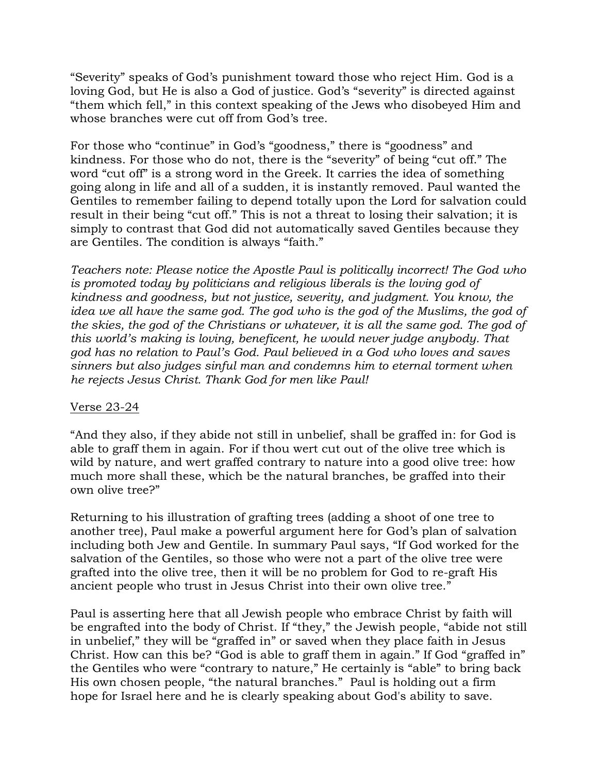"Severity" speaks of God's punishment toward those who reject Him. God is a loving God, but He is also a God of justice. God's "severity" is directed against "them which fell," in this context speaking of the Jews who disobeyed Him and whose branches were cut off from God's tree.

For those who "continue" in God's "goodness," there is "goodness" and kindness. For those who do not, there is the "severity" of being "cut off." The word "cut off" is a strong word in the Greek. It carries the idea of something going along in life and all of a sudden, it is instantly removed. Paul wanted the Gentiles to remember failing to depend totally upon the Lord for salvation could result in their being "cut off." This is not a threat to losing their salvation; it is simply to contrast that God did not automatically saved Gentiles because they are Gentiles. The condition is always "faith."

*Teachers note: Please notice the Apostle Paul is politically incorrect! The God who is promoted today by politicians and religious liberals is the loving god of kindness and goodness, but not justice, severity, and judgment. You know, the idea we all have the same god. The god who is the god of the Muslims, the god of the skies, the god of the Christians or whatever, it is all the same god. The god of this world's making is loving, beneficent, he would never judge anybody. That god has no relation to Paul's God. Paul believed in a God who loves and saves sinners but also judges sinful man and condemns him to eternal torment when he rejects Jesus Christ. Thank God for men like Paul!*

### Verse 23-24

"And they also, if they abide not still in unbelief, shall be graffed in: for God is able to graff them in again. For if thou wert cut out of the olive tree which is wild by nature, and wert graffed contrary to nature into a good olive tree: how much more shall these, which be the natural branches, be graffed into their own olive tree?"

Returning to his illustration of grafting trees (adding a shoot of one tree to another tree), Paul make a powerful argument here for God's plan of salvation including both Jew and Gentile. In summary Paul says, "If God worked for the salvation of the Gentiles, so those who were not a part of the olive tree were grafted into the olive tree, then it will be no problem for God to re-graft His ancient people who trust in Jesus Christ into their own olive tree."

Paul is asserting here that all Jewish people who embrace Christ by faith will be engrafted into the body of Christ. If "they," the Jewish people, "abide not still in unbelief," they will be "graffed in" or saved when they place faith in Jesus Christ. How can this be? "God is able to graff them in again." If God "graffed in" the Gentiles who were "contrary to nature," He certainly is "able" to bring back His own chosen people, "the natural branches." Paul is holding out a firm hope for Israel here and he is clearly speaking about God's ability to save.